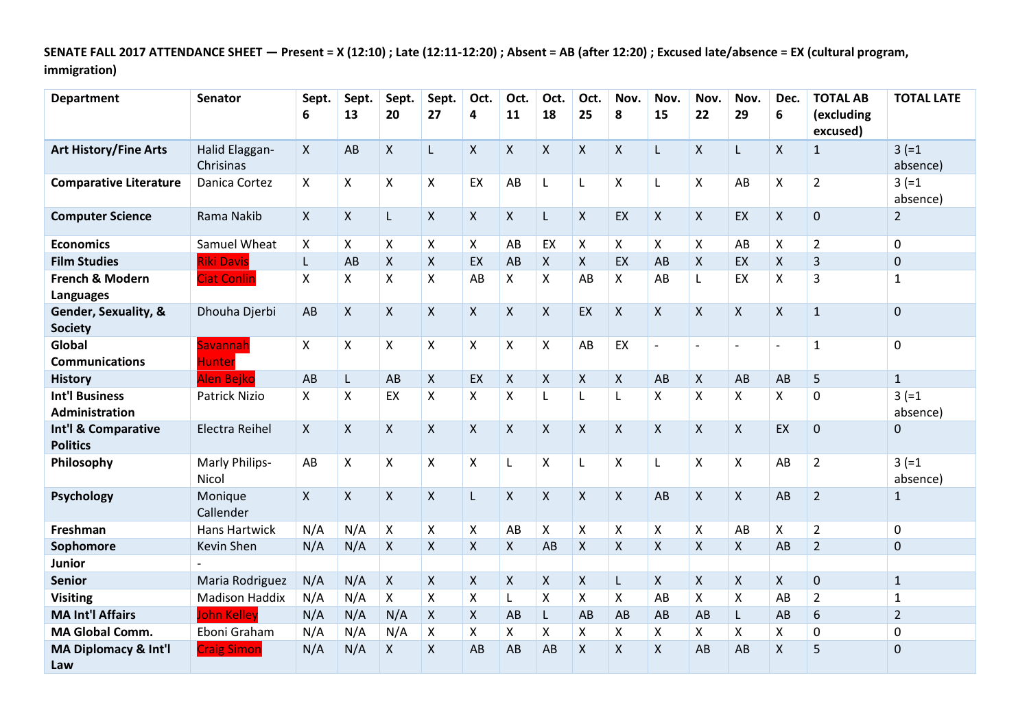**SENATE FALL 2017 ATTENDANCE SHEET — Present = X (12:10) ; Late (12:11-12:20) ; Absent = AB (after 12:20) ; Excused late/absence = EX (cultural program, immigration)**

| <b>Department</b>                              | <b>Senator</b>              | Sept.<br>6 | Sept.<br>13    | Sept.<br>20               | Sept.<br>27    | Oct.<br>4                 | Oct.<br>11     | Oct.<br>18         | Oct.<br>25         | Nov.<br>8          | Nov.<br>15     | Nov.<br>22               | Nov.<br>29                | Dec.<br>6                | <b>TOTAL AB</b><br>(excluding<br>excused) | <b>TOTAL LATE</b>    |
|------------------------------------------------|-----------------------------|------------|----------------|---------------------------|----------------|---------------------------|----------------|--------------------|--------------------|--------------------|----------------|--------------------------|---------------------------|--------------------------|-------------------------------------------|----------------------|
| <b>Art History/Fine Arts</b>                   | Halid Elaggan-<br>Chrisinas | X          | AB             | X                         | L.             | X                         | $\mathsf{X}$   | X                  | X                  | $\mathsf{X}$       | L              | $\mathsf{X}$             | L                         | $\mathsf{X}$             | $\mathbf{1}$                              | $3 (=1)$<br>absence) |
| <b>Comparative Literature</b>                  | Danica Cortez               | X          | $\mathsf{X}$   | $\pmb{\mathsf{X}}$        | $\pmb{\times}$ | EX                        | AB             | L                  | Г                  | $\pmb{\times}$     | L              | $\pmb{\mathsf{X}}$       | AB                        | X                        | $\overline{2}$                            | $3 (=1)$<br>absence) |
| <b>Computer Science</b>                        | Rama Nakib                  | X          | $\mathsf{X}$   | L                         | $\mathsf{X}$   | $\mathsf{X}$              | $\pmb{\times}$ | L                  | $\pmb{\times}$     | EX                 | $\mathsf{X}$   | $\pmb{\times}$           | EX                        | X                        | 0                                         | $\overline{2}$       |
| <b>Economics</b>                               | Samuel Wheat                | X          | $\mathsf{X}$   | $\boldsymbol{\mathsf{X}}$ | X              | X                         | AB             | EX                 | X                  | X                  | X              | $\mathsf{X}$             | AB                        | X                        | $\overline{2}$                            | $\mathbf 0$          |
| <b>Film Studies</b>                            | <b>Riki Davis</b>           | L          | AB             | $\boldsymbol{\mathsf{X}}$ | X              | EX                        | AB             | X                  | X                  | EX                 | AB             | $\mathsf{X}$             | EX                        | $\mathsf{X}$             | 3                                         | $\mathbf 0$          |
| French & Modern<br><b>Languages</b>            | <b>Ciat Conlin</b>          | X          | X              | X                         | X              | AB                        | X              | X                  | AB                 | X                  | AB             | L                        | EX                        | X                        | 3                                         | $\mathbf{1}$         |
| Gender, Sexuality, &<br><b>Society</b>         | Dhouha Djerbi               | AB         | $\mathsf{X}$   | $\mathsf{X}$              | $\mathsf{X}$   | $\mathsf{X}$              | $\mathsf{X}$   | X                  | EX                 | $\mathsf{X}$       | $\mathsf{X}$   | $\mathsf{X}$             | X                         | $\mathsf{X}$             | $\mathbf{1}$                              | $\mathbf 0$          |
| Global<br><b>Communications</b>                | Savannah<br><b>Hunter</b>   | X          | $\pmb{\times}$ | $\boldsymbol{\mathsf{X}}$ | X              | X                         | $\mathsf{X}$   | X                  | AB                 | EX                 | $\overline{a}$ | $\overline{\phantom{a}}$ | $\overline{\phantom{a}}$  | $\overline{\phantom{a}}$ | $\mathbf{1}$                              | $\mathbf 0$          |
| <b>History</b>                                 | Alen Bejko                  | AB         | $\mathsf{L}$   | AB                        | $\mathsf{X}$   | EX                        | $\pmb{\times}$ | $\mathsf{X}$       | X                  | $\mathsf{X}$       | AB             | $\mathsf{X}$             | AB                        | AB                       | 5                                         | $\mathbf{1}$         |
| <b>Int'l Business</b><br><b>Administration</b> | <b>Patrick Nizio</b>        | X          | X              | EX                        | $\mathsf{X}$   | X                         | $\mathsf{X}$   | L                  | L                  | L                  | X              | $\mathsf{X}$             | $\boldsymbol{\mathsf{X}}$ | X                        | $\mathbf 0$                               | $3 (=1)$<br>absence) |
| Int'l & Comparative<br><b>Politics</b>         | <b>Electra Reihel</b>       | X          | $\mathsf{X}$   | $\mathsf{X}$              | $\mathsf{X}$   | X                         | $\mathsf{X}$   | X                  | X                  | $\mathsf{X}$       | $\mathsf{X}$   | $\mathsf{X}$             | $\mathsf{X}$              | EX                       | $\mathbf 0$                               | $\mathbf 0$          |
| Philosophy                                     | Marly Philips-<br>Nicol     | AB         | $\mathsf{X}$   | X                         | X              | X                         | $\mathsf{L}$   | X                  | L                  | X                  | L              | $\pmb{\mathsf{X}}$       | $\boldsymbol{\mathsf{X}}$ | AB                       | $\overline{2}$                            | $3 (=1)$<br>absence) |
| <b>Psychology</b>                              | Monique<br>Callender        | X          | $\pmb{\times}$ | $\boldsymbol{\mathsf{X}}$ | $\mathsf{X}$   | L                         | $\mathsf{X}$   | X                  | $\pmb{\mathsf{X}}$ | $\pmb{\times}$     | AB             | $\pmb{\mathsf{X}}$       | $\boldsymbol{\mathsf{X}}$ | AB                       | $\overline{2}$                            | $\mathbf{1}$         |
| Freshman                                       | Hans Hartwick               | N/A        | N/A            | $\boldsymbol{\mathsf{X}}$ | X              | X                         | AB             | X                  | X                  | X                  | X              | $\mathsf{X}$             | AB                        | X                        | $\overline{2}$                            | $\mathbf 0$          |
| Sophomore                                      | Kevin Shen                  | N/A        | N/A            | $\boldsymbol{\mathsf{X}}$ | X              | $\mathsf{X}$              | $\mathsf{X}$   | AB                 | X                  | $\mathsf{X}$       | X              | $\mathsf{X}$             | X                         | AB                       | $\overline{2}$                            | $\mathbf 0$          |
| Junior                                         |                             |            |                |                           |                |                           |                |                    |                    |                    |                |                          |                           |                          |                                           |                      |
| <b>Senior</b>                                  | Maria Rodriguez             | N/A        | N/A            | $\mathsf{X}$              | $\pmb{\times}$ | $\mathsf{X}$              | $\pmb{\times}$ | $\pmb{\mathsf{X}}$ | X                  | L                  | X              | $\mathsf{X}$             | $\mathsf{X}$              | $\mathsf{X}$             | 0                                         | $\mathbf{1}$         |
| <b>Visiting</b>                                | <b>Madison Haddix</b>       | N/A        | N/A            | $\boldsymbol{\mathsf{X}}$ | X              | $\boldsymbol{\mathsf{X}}$ | $\mathsf{L}$   | Χ                  | X                  | X                  | AB             | $\pmb{\times}$           | $\pmb{\mathsf{X}}$        | AB                       | $\overline{2}$                            | $\mathbf{1}$         |
| <b>MA Int'l Affairs</b>                        | <b>John Kelley</b>          | N/A        | N/A            | N/A                       | X              | X                         | AB             | L                  | AB                 | AB                 | AB             | AB                       | L                         | AB                       | 6                                         | $\overline{2}$       |
| <b>MA Global Comm.</b>                         | Eboni Graham                | N/A        | N/A            | N/A                       | X              | X                         | Χ              | X                  | X                  | X                  | X              | Χ                        | Χ                         | X                        | 0                                         | $\mathbf 0$          |
| MA Diplomacy & Int'l<br>Law                    | <b>Craig Simon</b>          | N/A        | N/A            | $\pmb{\mathsf{X}}$        | X              | AB                        | AB             | AB                 | X                  | $\pmb{\mathsf{X}}$ | $\sf X$        | AB                       | AB                        | X                        | 5                                         | $\pmb{0}$            |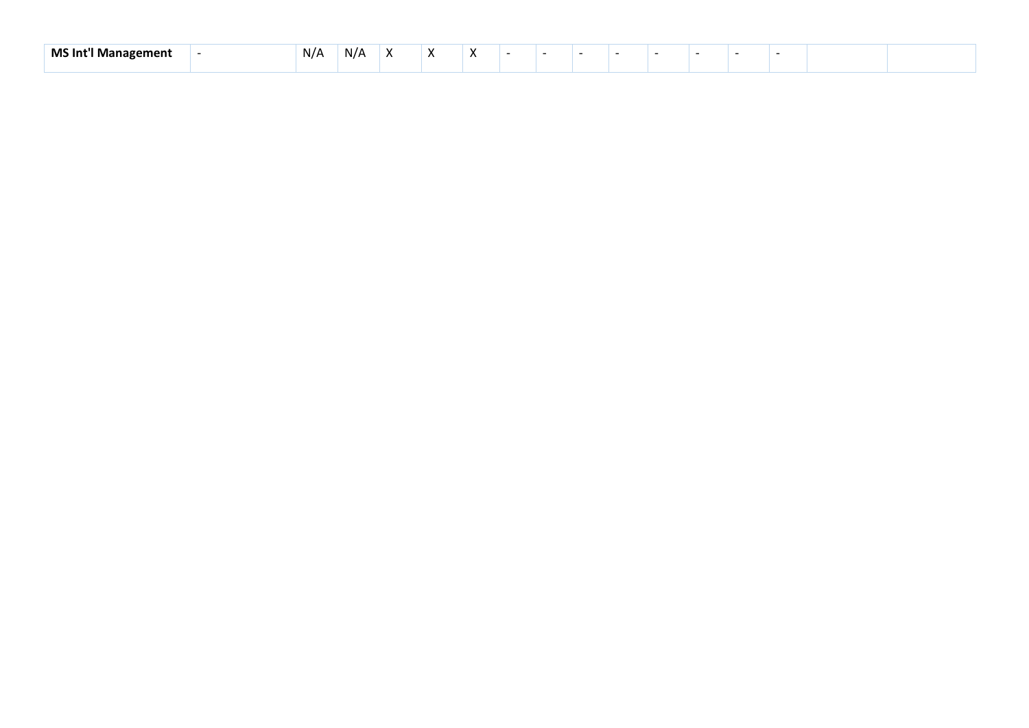| $-11 - 7$<br>MS Int<br>m≏nt<br>* м.<br>ша | N/A | N/A | ,, | . . |  |  |  |  |  |  |
|-------------------------------------------|-----|-----|----|-----|--|--|--|--|--|--|
|                                           |     |     |    |     |  |  |  |  |  |  |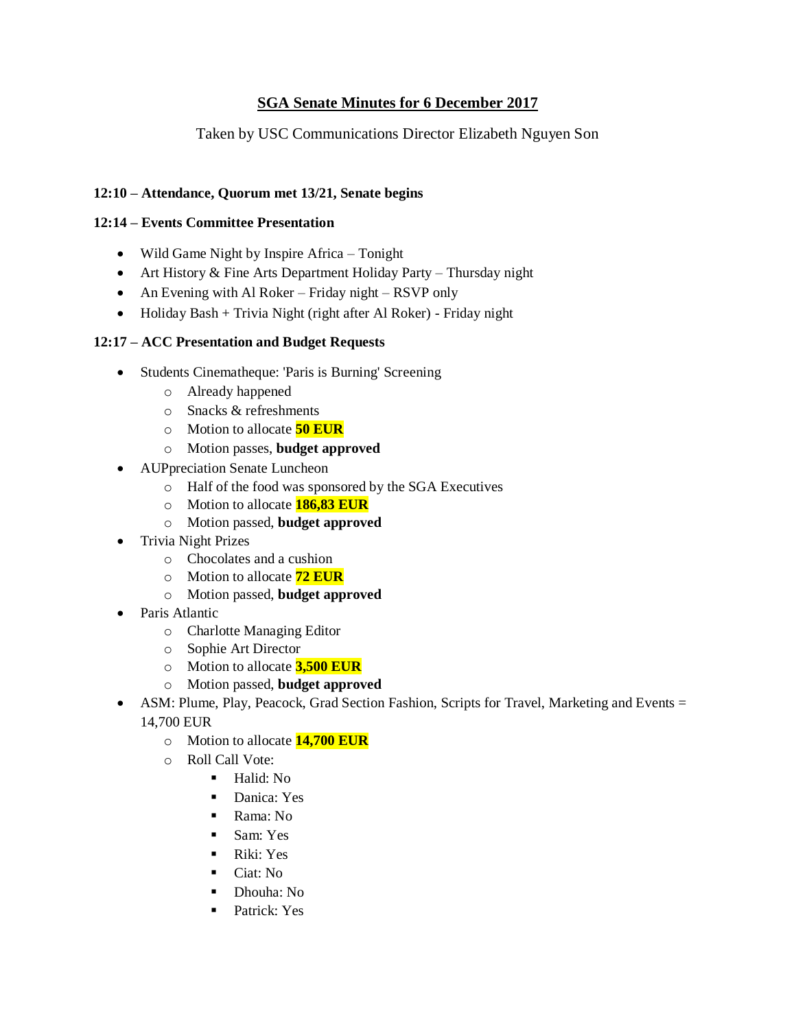## **SGA Senate Minutes for 6 December 2017**

### Taken by USC Communications Director Elizabeth Nguyen Son

#### **12:10 – Attendance, Quorum met 13/21, Senate begins**

#### **12:14 – Events Committee Presentation**

- Wild Game Night by Inspire Africa Tonight
- Art History & Fine Arts Department Holiday Party Thursday night
- An Evening with Al Roker Friday night RSVP only
- Holiday Bash + Trivia Night (right after Al Roker) Friday night

#### **12:17 – ACC Presentation and Budget Requests**

- Students Cinematheque: 'Paris is Burning' Screening
	- o Already happened
	- o Snacks & refreshments
	- o Motion to allocate **50 EUR**
	- o Motion passes, **budget approved**
- AUPpreciation Senate Luncheon
	- o Half of the food was sponsored by the SGA Executives
	- o Motion to allocate **186,83 EUR**
	- o Motion passed, **budget approved**
- Trivia Night Prizes
	- o Chocolates and a cushion
	- o Motion to allocate **72 EUR**
	- o Motion passed, **budget approved**
- Paris Atlantic
	- o Charlotte Managing Editor
	- o Sophie Art Director
	- o Motion to allocate **3,500 EUR**
	- o Motion passed, **budget approved**
- ASM: Plume, Play, Peacock, Grad Section Fashion, Scripts for Travel, Marketing and Events = 14,700 EUR
	- o Motion to allocate **14,700 EUR**
	- o Roll Call Vote:
		- Halid: No
		- Danica: Yes
		- Rama: No
		- Sam: Yes
		- Riki: Yes
		- Ciat: No
		- Dhouha: No
		- Patrick: Yes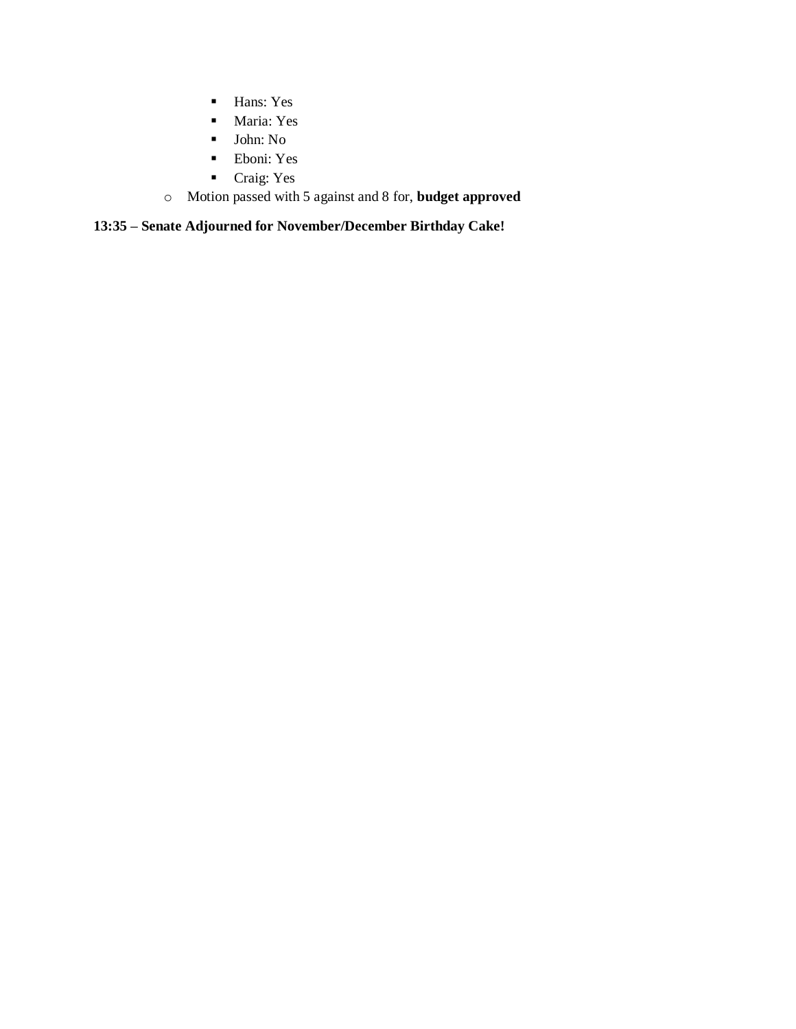- Hans: Yes
- Maria: Yes
- John: No
- Eboni: Yes
- Craig: Yes
- o Motion passed with 5 against and 8 for, **budget approved**

## **13:35 – Senate Adjourned for November/December Birthday Cake!**